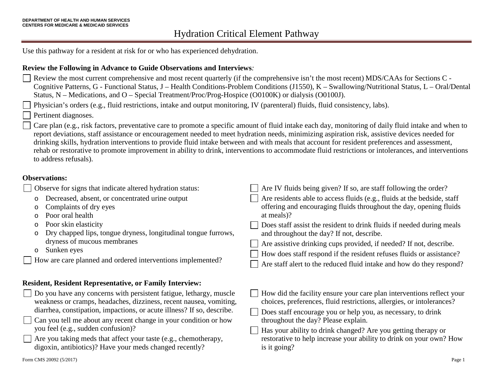Use this pathway for a resident at risk for or who has experienced dehydration.

#### **Review the Following in Advance to Guide Observations and Interviews***:*

Review the most current comprehensive and most recent quarterly (if the comprehensive isn't the most recent) MDS/CAAs for Sections C - Cognitive Patterns, G - Functional Status, J – Health Conditions-Problem Conditions (J1550), K – Swallowing/Nutritional Status, L – Oral/Dental Status, N – Medications, and O – Special Treatment/Proc/Prog-Hospice (O0100K) or dialysis (O0100J).

Physician's orders (e.g., fluid restrictions, intake and output monitoring, IV (parenteral) fluids, fluid consistency, labs).

Pertinent diagnoses.

Care plan (e.g., risk factors, preventative care to promote a specific amount of fluid intake each day, monitoring of daily fluid intake and when to report deviations, staff assistance or encouragement needed to meet hydration needs, minimizing aspiration risk, assistive devices needed for drinking skills, hydration interventions to provide fluid intake between and with meals that account for resident preferences and assessment, rehab or restorative to promote improvement in ability to drink, interventions to accommodate fluid restrictions or intolerances, and interventions to address refusals).

#### **Observations:**

| Observe for signs that indicate altered hydration status:                                                                                                                                                                                                                                                                                                                                                                                                                       | Are IV fluids being given? If so, are staff following the order?                                                                                                                                                                                                                                                                                                                                                                                                                                        |  |  |  |  |
|---------------------------------------------------------------------------------------------------------------------------------------------------------------------------------------------------------------------------------------------------------------------------------------------------------------------------------------------------------------------------------------------------------------------------------------------------------------------------------|---------------------------------------------------------------------------------------------------------------------------------------------------------------------------------------------------------------------------------------------------------------------------------------------------------------------------------------------------------------------------------------------------------------------------------------------------------------------------------------------------------|--|--|--|--|
| Decreased, absent, or concentrated urine output<br>$\circ$<br>Complaints of dry eyes<br>O<br>Poor oral health<br>O<br>Poor skin elasticity<br>O<br>Dry chapped lips, tongue dryness, longitudinal tongue furrows,<br>O<br>dryness of mucous membranes<br>Sunken eyes<br>O<br>How are care planned and ordered interventions implemented?                                                                                                                                        | Are residents able to access fluids (e.g., fluids at the bedside, staff<br>offering and encouraging fluids throughout the day, opening fluids<br>at meals)?<br>Does staff assist the resident to drink fluids if needed during meals<br>and throughout the day? If not, describe.<br>Are assistive drinking cups provided, if needed? If not, describe.<br>How does staff respond if the resident refuses fluids or assistance?<br>Are staff alert to the reduced fluid intake and how do they respond? |  |  |  |  |
| <b>Resident, Resident Representative, or Family Interview:</b>                                                                                                                                                                                                                                                                                                                                                                                                                  |                                                                                                                                                                                                                                                                                                                                                                                                                                                                                                         |  |  |  |  |
| $\Box$ Do you have any concerns with persistent fatigue, lethargy, muscle<br>weakness or cramps, headaches, dizziness, recent nausea, vomiting,<br>diarrhea, constipation, impactions, or acute illness? If so, describe.<br>$\Box$ Can you tell me about any recent change in your condition or how<br>you feel (e.g., sudden confusion)?<br>$\Box$ Are you taking meds that affect your taste (e.g., chemotherapy,<br>digoxin, antibiotics)? Have your meds changed recently? | How did the facility ensure your care plan interventions reflect your<br>choices, preferences, fluid restrictions, allergies, or intolerances?<br>Does staff encourage you or help you, as necessary, to drink<br>throughout the day? Please explain.<br>Has your ability to drink changed? Are you getting therapy or<br>restorative to help increase your ability to drink on your own? How<br>is it going?                                                                                           |  |  |  |  |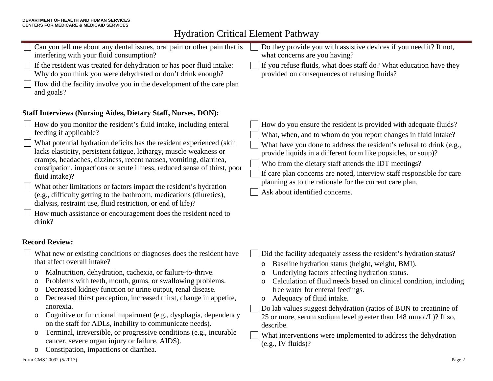# Hydration Critical Element Pathway

| Do they provide you with assistive devices if you need it? If not,<br>what concerns are you having?                                                                                                                                                                                                                                                                                                                                                                                                                                                                                     |  |  |  |  |  |
|-----------------------------------------------------------------------------------------------------------------------------------------------------------------------------------------------------------------------------------------------------------------------------------------------------------------------------------------------------------------------------------------------------------------------------------------------------------------------------------------------------------------------------------------------------------------------------------------|--|--|--|--|--|
| If you refuse fluids, what does staff do? What education have they<br>provided on consequences of refusing fluids?                                                                                                                                                                                                                                                                                                                                                                                                                                                                      |  |  |  |  |  |
|                                                                                                                                                                                                                                                                                                                                                                                                                                                                                                                                                                                         |  |  |  |  |  |
| <b>Staff Interviews (Nursing Aides, Dietary Staff, Nurses, DON):</b>                                                                                                                                                                                                                                                                                                                                                                                                                                                                                                                    |  |  |  |  |  |
| How do you ensure the resident is provided with adequate fluids?<br>What, when, and to whom do you report changes in fluid intake?<br>What have you done to address the resident's refusal to drink (e.g.,<br>provide liquids in a different form like popsicles, or soup)?<br>Who from the dietary staff attends the IDT meetings?<br>If care plan concerns are noted, interview staff responsible for care<br>planning as to the rationale for the current care plan.<br>Ask about identified concerns.                                                                               |  |  |  |  |  |
|                                                                                                                                                                                                                                                                                                                                                                                                                                                                                                                                                                                         |  |  |  |  |  |
| Did the facility adequately assess the resident's hydration status?<br>Baseline hydration status (height, weight, BMI).<br>Underlying factors affecting hydration status.<br>$\circ$<br>Calculation of fluid needs based on clinical condition, including<br>O<br>free water for enteral feedings.<br>Adequacy of fluid intake.<br>$\circ$<br>Do lab values suggest dehydration (ratios of BUN to creatinine of<br>25 or more, serum sodium level greater than 148 mmol/L)? If so,<br>describe.<br>What interventions were implemented to address the dehydration<br>(e.g., IV fluids)? |  |  |  |  |  |
|                                                                                                                                                                                                                                                                                                                                                                                                                                                                                                                                                                                         |  |  |  |  |  |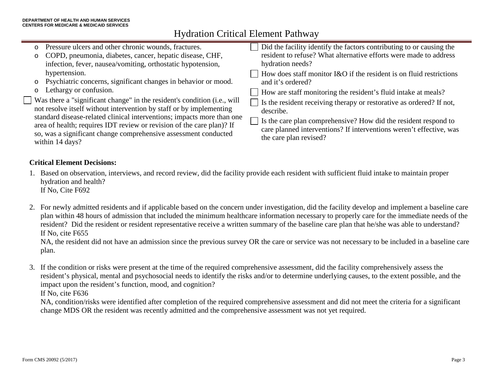## Hydration Critical Element Pathway

| o Pressure ulcers and other chronic wounds, fractures.<br>o COPD, pneumonia, diabetes, cancer, hepatic disease, CHF,<br>infection, fever, nausea/vomiting, orthostatic hypotension,<br>hypertension.                                                                                                                                                                                                                                                                                     | Did the facility identify the factors contributing to or causing the<br>resident to refuse? What alternative efforts were made to address<br>hydration needs?<br>$\Box$ How does staff monitor I&O if the resident is on fluid restrictions                                                                                                                       |
|------------------------------------------------------------------------------------------------------------------------------------------------------------------------------------------------------------------------------------------------------------------------------------------------------------------------------------------------------------------------------------------------------------------------------------------------------------------------------------------|-------------------------------------------------------------------------------------------------------------------------------------------------------------------------------------------------------------------------------------------------------------------------------------------------------------------------------------------------------------------|
| o Psychiatric concerns, significant changes in behavior or mood.<br>o Lethargy or confusion.<br>Was there a "significant change" in the resident's condition (i.e., will<br>not resolve itself without intervention by staff or by implementing<br>standard disease-related clinical interventions; impacts more than one<br>area of health; requires IDT review or revision of the care plan)? If<br>so, was a significant change comprehensive assessment conducted<br>within 14 days? | and it's ordered?<br>$\Box$ How are staff monitoring the resident's fluid intake at meals?<br>$\Box$ Is the resident receiving therapy or restorative as ordered? If not,<br>describe.<br>$\Box$ Is the care plan comprehensive? How did the resident respond to<br>care planned interventions? If interventions weren't effective, was<br>the care plan revised? |

### **Critical Element Decisions:**

- 1. Based on observation, interviews, and record review, did the facility provide each resident with sufficient fluid intake to maintain proper hydration and health? If No, Cite F692
- 2. For newly admitted residents and if applicable based on the concern under investigation, did the facility develop and implement a baseline care plan within 48 hours of admission that included the minimum healthcare information necessary to properly care for the immediate needs of the resident? Did the resident or resident representative receive a written summary of the baseline care plan that he/she was able to understand? If No, cite F655

NA, the resident did not have an admission since the previous survey OR the care or service was not necessary to be included in a baseline care plan.

3. If the condition or risks were present at the time of the required comprehensive assessment, did the facility comprehensively assess the resident's physical, mental and psychosocial needs to identify the risks and/or to determine underlying causes, to the extent possible, and the impact upon the resident's function, mood, and cognition?

If No, cite F636

NA, condition/risks were identified after completion of the required comprehensive assessment and did not meet the criteria for a significant change MDS OR the resident was recently admitted and the comprehensive assessment was not yet required.